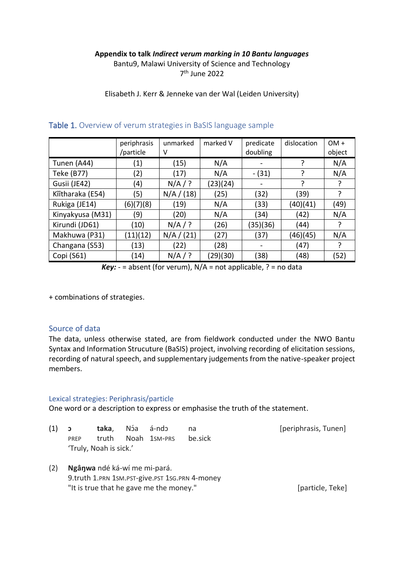# **Appendix to talk** *Indirect verum marking in 10 Bantu languages*

Bantu9, Malawi University of Science and Technology 7 th June 2022

Elisabeth J. Kerr & Jenneke van der Wal (Leiden University)

|                  | periphrasis | unmarked   | marked V | predicate | dislocation | $OM +$ |
|------------------|-------------|------------|----------|-----------|-------------|--------|
|                  | /particle   | ٧          |          | doubling  |             | object |
| Tunen (A44)      | (1)         | (15)       | N/A      |           |             | N/A    |
| Teke (B77)       | (2)         | (17)       | N/A      | $-(31)$   |             | N/A    |
| Gusii (JE42)     | (4)         | $N/A$ / ?  | (23)(24) |           | ?           |        |
| Kîîtharaka (E54) | (5)         | N/A / (18) | (25)     | (32)      | (39)        |        |
| Rukiga (JE14)    | (6)(7)(8)   | (19)       | N/A      | (33)      | (40)(41)    | (49)   |
| Kinyakyusa (M31) | (9)         | (20)       | N/A      | (34)      | (42)        | N/A    |
| Kirundi (JD61)   | (10)        | $N/A$ / ?  | (26)     | (35)(36)  | (44)        |        |
| Makhuwa (P31)    | (11)(12)    | N/A / (21) | (27)     | (37)      | (46)(45)    | N/A    |
| Changana (S53)   | (13)        | (22)       | (28)     |           | (47)        |        |
| Copi (S61)       | (14)        | $N/A$ / ?  | (29)(30) | (38)      | (48)        | (52)   |

# Table 1. Overview of verum strategies in BaSIS language sample

*Key:*  $-$  = absent (for verum),  $N/A$  = not applicable,  $?$  = no data

+ combinations of strategies.

# Source of data

The data, unless otherwise stated, are from fieldwork conducted under the NWO Bantu Syntax and Information Strucuture (BaSIS) project, involving recording of elicitation sessions, recording of natural speech, and supplementary judgements from the native-speaker project members.

# Lexical strategies: Periphrasis/particle

One word or a description to express or emphasise the truth of the statement.

<span id="page-0-0"></span>

| (1) ɔ | PRFP |                        | <b>taka</b> , Nóa á-ndo | truth Noah 1sm-PRS | na.<br>be.sick | [periphrasis, Tunen] |
|-------|------|------------------------|-------------------------|--------------------|----------------|----------------------|
|       |      | 'Truly, Noah is sick.' |                         |                    |                |                      |

<span id="page-0-1"></span>(2) **Ngâŋwa** ndé ká-wí me mi-pará. 9.truth 1.PRN 1SM.PST-give.PST 1SG.PRN 4-money "It is true that he gave me the money." [particle, Teke]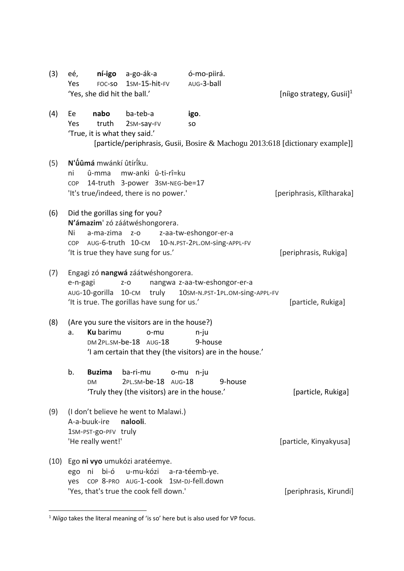<span id="page-1-3"></span><span id="page-1-2"></span><span id="page-1-1"></span><span id="page-1-0"></span>

| (3)  | ní-igo<br>a-go-ák-a<br>eé,<br>1sm-15-hit-FV<br>Yes<br>FOC-SO<br>'Yes, she did hit the ball.'                                                                           | ó-mo-piirá.<br>AUG-3-ball<br>[niigo strategy, Gusii] <sup>1</sup>                                  |
|------|------------------------------------------------------------------------------------------------------------------------------------------------------------------------|----------------------------------------------------------------------------------------------------|
| (4)  | nabo<br>ba-teb-a<br>Ee<br>Yes<br>truth<br>2sm-say-FV<br>'True, it is what they said.'                                                                                  | igo.<br><b>SO</b><br>[particle/periphrasis, Gusii, Bosire & Machogu 2013:618 [dictionary example]] |
| (5)  | N'ûûmá mwánkí ûtírîku.<br>û-mma<br>mw-anki û-ti-rî=ku<br>ni<br>14-truth 3-power 3sm-NEG-be=17<br>COP<br>'It's true/indeed, there is no power.'                         | [periphrasis, Kîîtharaka]                                                                          |
| (6)  | Did the gorillas sing for you?<br>N'ámazim' zó záátwéshongorera.<br>Ni<br>a-ma-zima<br>$Z-O$<br>AUG-6-truth 10-CM<br><b>COP</b><br>'It is true they have sung for us.' | z-aa-tw-eshongor-er-a<br>10-N.PST-2PL.OM-Sing-APPL-FV<br>[periphrasis, Rukiga]                     |
| (7)  | Engagi zó nangwá záátwéshongorera.<br>e-n-gagi<br>$Z - O$<br>AUG-10-gorilla 10-CM truly 10SM-N.PST-1PL.OM-Sing-APPL-FV<br>'It is true. The gorillas have sung for us.' | nangwa z-aa-tw-eshongor-er-a<br>[particle, Rukiga]                                                 |
| (8)  | (Are you sure the visitors are in the house?)<br><b>Ku</b> barimu<br>a.<br>o-mu<br>DM 2PL.SM-be-18 AUG-18<br>'I am certain that they (the visitors) are in the house.' | n-ju<br>9-house                                                                                    |
|      | b.<br><b>Buzima</b><br>ba-ri-mu<br>2PL.SM-be-18 AUG-18<br><b>DM</b><br>'Truly they (the visitors) are in the house.'                                                   | o-mu n-iu<br>9-house<br>[particle, Rukiga]                                                         |
| (9)  | (I don't believe he went to Malawi.)<br>A-a-buuk-ire<br>nalooli.<br>1SM-PST-go-PFV truly<br>'He really went!'                                                          | [particle, Kinyakyusa]                                                                             |
| (10) | Ego ni vyo umukózi aratéemye.<br>ego ni bi-ó u-mu-kózi a-ra-téemb-ye.<br>COP 8-PRO AUG-1-COOK 1SM-DJ-fell.down<br>yes                                                  |                                                                                                    |
|      | 'Yes, that's true the cook fell down.'                                                                                                                                 | [periphrasis, Kirundi]                                                                             |

<span id="page-1-6"></span><span id="page-1-5"></span><span id="page-1-4"></span><sup>1</sup> *Níigo* takes the literal meaning of 'is so' here but is also used for VP focus.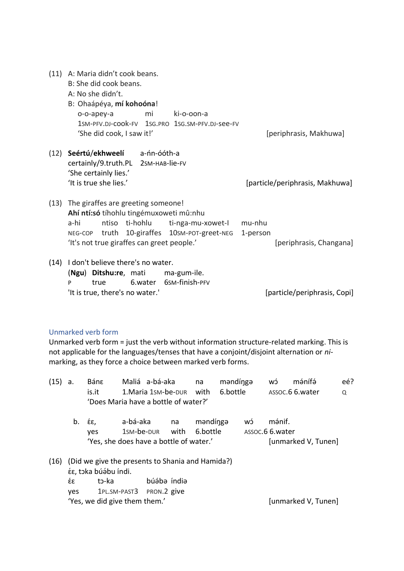<span id="page-2-2"></span><span id="page-2-1"></span>

| (11) | A: Maria didn't cook beans.<br>B: She did cook beans.<br>A: No she didn't.<br>B: Ohaápéya, mí kohoóna!                                                                                                                     |                                               |
|------|----------------------------------------------------------------------------------------------------------------------------------------------------------------------------------------------------------------------------|-----------------------------------------------|
|      | mi<br>ki-o-oon-a<br>o-o-apey-a                                                                                                                                                                                             |                                               |
|      | 1SM-PFV.DJ-COOK-FV 1SG.PRO 1SG.SM-PFV.DJ-See-FV<br>'She did cook, I saw it!'                                                                                                                                               | [periphrasis, Makhuwa]                        |
| (12) | Seértú/ekhweelí a-nn-ooth-a<br>Certainly/9.truth.PL 2SM-HAB-lie-FV<br>'She certainly lies.'                                                                                                                                |                                               |
|      | 'It is true she lies.'                                                                                                                                                                                                     | [particle/periphrasis, Makhuwa]               |
| (13) | The giraffes are greeting someone!<br>Ahí ntí:só tíhohlu tingémuxoweti mû:nhu<br>ntiso ti-hohlu<br>a-hi<br>ti-nga-mu-xowet-l<br>NEG-COP truth 10-giraffes 10SM-POT-greet-NEG<br>'It's not true giraffes can greet people.' | mu-nhu<br>1-person<br>[periphrasis, Changana] |
| (14) | I don't believe there's no water.<br>Ditshu:re, mati<br>ma-gum-ile.<br>(Ngu)                                                                                                                                               |                                               |

<span id="page-2-4"></span><span id="page-2-3"></span>P true 6.water 6SM-finish-PFV 'It is true, there's no water.' letter the settle and the settle experience of the settle in the late of the line of the late of the line of the line of the line of the line of the line of the line of the line of the line

### Unmarked verb form

Unmarked verb form = just the verb without information structure-related marking. This is not applicable for the languages/tenses that have a conjoint/disjoint alternation or *ni*marking, as they force a choice between marked verb forms.

<span id="page-2-0"></span>

| (15) | a.  | Bánε                                             | Maliá a-bá-aka                       |             | na       | məndingə |    | wó               | mánífá              | eé? |
|------|-----|--------------------------------------------------|--------------------------------------|-------------|----------|----------|----|------------------|---------------------|-----|
|      |     | is.it                                            | 1. Maria 1sm-be-DUR                  |             | with     | 6.bottle |    |                  | ASSOC.6 6. water    | Q   |
|      |     |                                                  | 'Does Maria have a bottle of water?' |             |          |          |    |                  |                     |     |
|      | b.  | έε,                                              | a-bá-aka                             | na          |          | məndingə | ĆW | mánif.           |                     |     |
|      |     | ves                                              | 1sm-be-dur                           | with        | 6.bottle |          |    | ASSOC.6 6. water |                     |     |
|      |     | 'Yes, she does have a bottle of water.'          |                                      |             |          |          |    |                  | [unmarked V, Tunen] |     |
| (16) |     | (Did we give the presents to Shania and Hamida?) |                                      |             |          |          |    |                  |                     |     |
|      |     | έε, toka búábu índi.                             |                                      |             |          |          |    |                  |                     |     |
|      | έε  | tว-ka                                            |                                      | búába índia |          |          |    |                  |                     |     |
|      | ves |                                                  | 1PL.SM-PAST3 PRON.2 give             |             |          |          |    |                  |                     |     |
|      |     | 'Yes, we did give them them.'                    |                                      |             |          |          |    |                  | [unmarked V, Tunen] |     |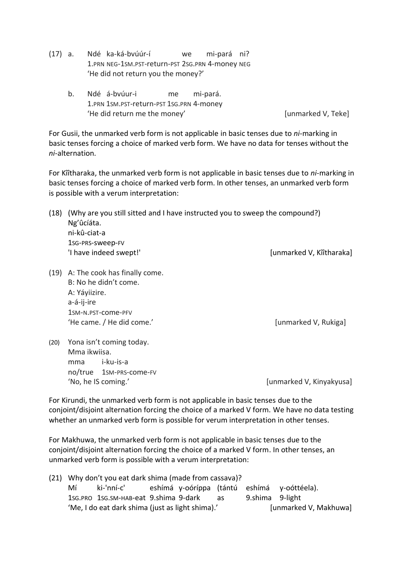- <span id="page-3-0"></span>(17) a. Ndé ka-ká-bvúúr-í we mi-pará ni? 1.PRN NEG-1SM.PST-return-PST 2SG.PRN 4-money NEG 'He did not return you the money?'
	- b. Ndé á-bvúur-i me mi-pará. 1.PRN 1SM.PST-return-PST 1SG.PRN 4-money 'He did return me the money' and a series are set of the did return of the money'

For Gusii, the unmarked verb form is not applicable in basic tenses due to *ni*-marking in basic tenses forcing a choice of marked verb form. We have no data for tenses without the *ni-*alternation.

For Kîîtharaka, the unmarked verb form is not applicable in basic tenses due to *ni*-marking in basic tenses forcing a choice of marked verb form. In other tenses, an unmarked verb form is possible with a verum interpretation:

- <span id="page-3-1"></span>(18) (Why are you still sitted and I have instructed you to sweep the compound?) Ng'ûcíáta. ni-kû-ciat-a 1SG-PRS-sweep-FV 'I have indeed swept!' [unmarked V, Kîîtharaka]
- <span id="page-3-2"></span>(19) A: The cook has finally come. B: No he didn't come. A: Yáyiizire. a-á-ij-ire 1SM-N.PST-come-PFV 'He came. / He did come.' Compared V, Rukiga]

<span id="page-3-3"></span>(20) Yona isn't coming today. Mma ikwiisa. mma i-ku-is-a no/true 1SM-PRS-come-FV 'No, he IS coming.' The Communication of the Communication of the IS communication of the IS communication of the IS communication of the IS communication of the IS communication of the IS communication of the IS communica

For Kirundi, the unmarked verb form is not applicable in basic tenses due to the conjoint/disjoint alternation forcing the choice of a marked V form. We have no data testing whether an unmarked verb form is possible for verum interpretation in other tenses.

For Makhuwa, the unmarked verb form is not applicable in basic tenses due to the conjoint/disjoint alternation forcing the choice of a marked V form. In other tenses, an unmarked verb form is possible with a verum interpretation:

<span id="page-3-4"></span>(21) Why don't you eat dark shima (made from cassava)? Mí ki-'nní-c' eshímá y-oóríppa (tántú eshímá y-oóttéela). 1SG.PRO 1SG.SM-HAB-eat 9.shima 9-dark as 9.shima 9-light 'Me, I do eat dark shima (just as light shima).' [unmarked V, Makhuwa]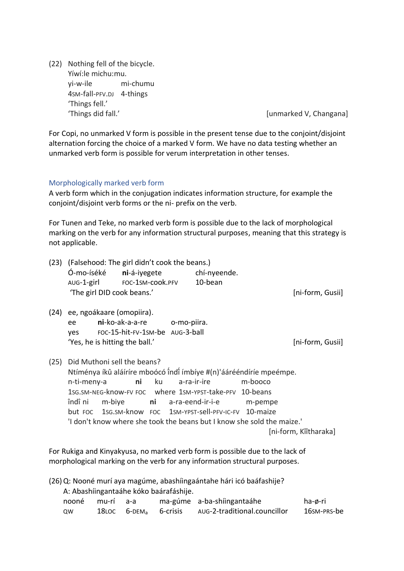<span id="page-4-4"></span>(22) Nothing fell of the bicycle. Yíwí:le michu:mu. yi-w-ile mi-chumu 4SM-fall-PFV.DJ 4-things 'Things fell.' 'Things did fall.' Things did fall.' **Example 20** and the set of the set of the set of the set of the set of the set of the set of the set of the set of the set of the set of the set of the set of the set of the set of the

For Copi, no unmarked V form is possible in the present tense due to the conjoint/disjoint alternation forcing the choice of a marked V form. We have no data testing whether an unmarked verb form is possible for verum interpretation in other tenses.

### Morphologically marked verb form

A verb form which in the conjugation indicates information structure, for example the conjoint/disjoint verb forms or the ni- prefix on the verb.

For Tunen and Teke, no marked verb form is possible due to the lack of morphological marking on the verb for any information structural purposes, meaning that this strategy is not applicable.

<span id="page-4-1"></span><span id="page-4-0"></span>

| (23) | Ó-mo-íséké             | (Falsehood: The girl didn't cook the beans.)<br>AUG-1-girl FOC-1SM-cook.PFV 10-bean<br>'The girl DID cook beans.' | ni-á-iyegete | chí-nyeende.                                                                                                                                                     |                                                                                                                                                                    | [ni-form, Gusii]      |
|------|------------------------|-------------------------------------------------------------------------------------------------------------------|--------------|------------------------------------------------------------------------------------------------------------------------------------------------------------------|--------------------------------------------------------------------------------------------------------------------------------------------------------------------|-----------------------|
| (24) |                        | ee, ngoákaare (omopiira).                                                                                         |              |                                                                                                                                                                  |                                                                                                                                                                    |                       |
|      | ee                     | ni-ko-ak-a-a-re o-mo-piira.                                                                                       |              |                                                                                                                                                                  |                                                                                                                                                                    |                       |
|      |                        | yes FOC-15-hit-FV-1sm-be AUG-3-ball                                                                               |              |                                                                                                                                                                  |                                                                                                                                                                    |                       |
|      |                        | 'Yes, he is hitting the ball.'                                                                                    |              |                                                                                                                                                                  |                                                                                                                                                                    | [ni-form, Gusii]      |
| (25) | n-ti-meny-a<br>îndî ni | Did Muthoni sell the beans?<br>m-biye                                                                             | ku<br>ni     | a-ra-ir-ire<br>1sg.sm-NEG-know-FV FOC where 1sm-YPST-take-PFV 10-beans<br><b>ni</b> a-ra-eend-ir-i-e<br>but FOC 1sG.SM-know FOC 1SM-YPST-Sell-PFV-IC-FV 10-maize | Ntíménya íkû aláíríre mboócó îndî ímbíye #(n)'áárééndíríe mpeémpe.<br>m-booco<br>m-pempe<br>'I don't know where she took the beans but I know she sold the maize.' | [ni-form, Kîîtharaka] |

<span id="page-4-2"></span>For Rukiga and Kinyakyusa, no marked verb form is possible due to the lack of morphological marking on the verb for any information structural purposes.

<span id="page-4-3"></span>(26)Q: Nooné murí aya magúme, abashíingaántahe hári icó baáfashije? A: Abashíingantaáhe kóko baárafáshije. nooné mu-rí a-a ma-gúme a-ba-shíingantaáhe ha-ø-ri QW 18LOC 6-DEM<sup>a</sup> 6-crisis AUG-2-traditional.councillor 16SM-PRS-be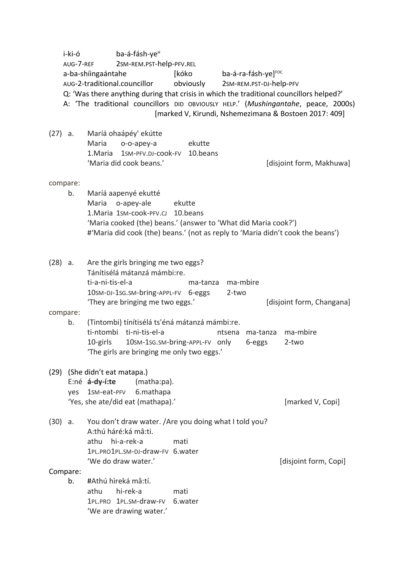<span id="page-5-3"></span><span id="page-5-2"></span><span id="page-5-1"></span><span id="page-5-0"></span>

|      | i-ki-ó         | ba-á-fásh-ye <sup>H</sup><br>2SM-REM.PST-help-PFV.REL<br>AUG-7-REF<br>[kóko<br>ba-á-ra-fásh-ye] <sup>FOC</sup><br>a-ba-shíingaántahe<br>AUG-2-traditional.councillor<br>obviously<br>2SM-REM.PST-DJ-help-PFV<br>Q: 'Was there anything during that crisis in which the traditional councillors helped?'<br>A: 'The traditional councillors DID OBVIOUSLY HELP.' (Mushingantahe, peace, 2000s)<br>[marked V, Kirundi, Nshemezimana & Bostoen 2017: 409] |                           |
|------|----------------|--------------------------------------------------------------------------------------------------------------------------------------------------------------------------------------------------------------------------------------------------------------------------------------------------------------------------------------------------------------------------------------------------------------------------------------------------------|---------------------------|
|      | $(27)$ a.      | Maríá ohaápéy' ekútte<br>Maria<br>ekutte<br>o-o-apey-a<br>1SM-PFV.DJ-cook-FV 10.beans<br>1. Maria<br>'Maria did cook beans.'                                                                                                                                                                                                                                                                                                                           | [disjoint form, Makhuwa]  |
|      | compare:<br>b. | Maríá aapenyé ekutté<br>Maria<br>o-apey-ale<br>ekutte<br>1. Maria 1sm-cook-PFV.CJ 10. beans<br>'Maria cooked (the) beans.' (answer to 'What did Maria cook?')<br>#'Maria did cook (the) beans.' (not as reply to 'Maria didn't cook the beans')                                                                                                                                                                                                        |                           |
|      | $(28)$ a.      | Are the girls bringing me two eggs?<br>Tánítisélá mátanzá mámbi:re.<br>ti-a-ni-tis-el-a<br>ma-mbire<br>ma-tanza<br>10sm-DJ-1sG.SM-bring-APPL-FV 6-eggs<br>2-two<br>'They are bringing me two eggs.'                                                                                                                                                                                                                                                    | [disjoint form, Changana] |
|      | compare:<br>b. | (Tintombi) tínítisélá ts'éná mátanzá mámbi:re.<br>ti-ntombi ti-ni-tis-el-a<br>ntsena<br>ma-tanza<br>10sm-1sg.sm-bring-APPL-FV only<br>10-girls<br>6-eggs<br>'The girls are bringing me only two eggs.'                                                                                                                                                                                                                                                 | ma-mbire<br>2-two         |
| (29) | yes            | (She didn't eat matapa.)<br>E:né á-dy-í:te<br>(matha:pa).<br>1sm-eat-PFV<br>6.mathapa<br>'Yes, she ate/did eat (mathapa).'                                                                                                                                                                                                                                                                                                                             | [marked V, Copi]          |
| (30) | a.             | You don't draw water. /Are you doing what I told you?<br>A:thú háré:ká mâ:ti.<br>hi-a-rek-a<br>athu<br>mati<br>1PL.PRO1PL.SM-DJ-draw-FV 6.water<br>'We do draw water.'                                                                                                                                                                                                                                                                                 | [disjoint form, Copi]     |
|      | Compare:<br>b. | #Athú hìreká mâ:tí.<br>hi-rek-a<br>athu<br>mati<br>1PL.PRO 1PL.SM-draw-FV<br>6.water<br>'We are drawing water.'                                                                                                                                                                                                                                                                                                                                        |                           |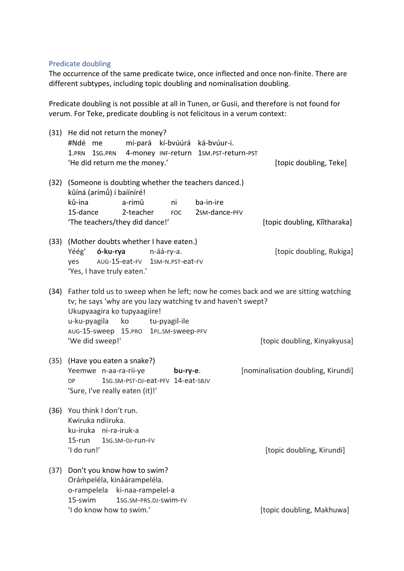#### Predicate doubling

The occurrence of the same predicate twice, once inflected and once non-finite. There are different subtypes, including topic doubling and nominalisation doubling.

Predicate doubling is not possible at all in Tunen, or Gusii, and therefore is not found for verum. For Teke, predicate doubling is not felicitous in a verum context:

<span id="page-6-6"></span><span id="page-6-5"></span><span id="page-6-4"></span><span id="page-6-3"></span><span id="page-6-2"></span><span id="page-6-1"></span><span id="page-6-0"></span>

| (31) | He did not return the money?<br>mi-pará kí-bvúúrá ká-bvúur-i.<br>#Ndé me<br>4-money INF-return<br>1sg.PRN<br>1.PRN<br>'He did return me the money.'                                           | 1sm.pst-return-pst<br>[topic doubling, Teke]                                                                        |
|------|-----------------------------------------------------------------------------------------------------------------------------------------------------------------------------------------------|---------------------------------------------------------------------------------------------------------------------|
| (32) | (Someone is doubting whether the teachers danced.)<br>kûíná (arímû) í baííníré!<br>kû-ina<br>a-rimû<br>ni<br>15-dance<br>2-teacher<br><b>FOC</b><br>'The teachers/they did dance!'            | ba-in-ire<br>2sm-dance-PFV<br>[topic doubling, Kîîtharaka]                                                          |
|      | (33) (Mother doubts whether I have eaten.)<br>ó-ku-rya<br>Yéég'<br>n-áá-ry-a.<br>AUG-15-eat-FV 1SM-N.PST-eat-FV<br>yes<br>'Yes, I have truly eaten.'                                          | [topic doubling, Rukiga]                                                                                            |
| (34) | tv; he says 'why are you lazy watching tv and haven't swept?<br>Ukupyaagira ko tupyaagiire!<br>u-ku-pyagila<br>ko<br>tu-pyagil-ile<br>AUG-15-sweep 15.PRO 1PL.SM-SWeep-PFV<br>'We did sweep!' | Father told us to sweep when he left; now he comes back and we are sitting watching<br>[topic doubling, Kinyakyusa] |
|      | (35) (Have you eaten a snake?)<br>Yeemwe n-aa-ra-rii-ye<br>bu-ry-e.<br>1sg.sm-PST-DJ-eat-PFV 14-eat-SBJV<br>DP<br>'Sure, I've really eaten (it)!'                                             | [nominalisation doubling, Kirundi]                                                                                  |
| (36) | You think I don't run.<br>Kwiruka ndiiruka.<br>ku-iruka ni-ra-iruk-a<br>$15$ -run<br>1sg.sm-DJ-run-FV<br>'I do run!'                                                                          | [topic doubling, Kirundi]                                                                                           |
| (37) | Don't you know how to swim?<br>Orámpeléla, kináárampeléla.<br>o-rampelela<br>ki-naa-rampelel-a<br>15-swim<br>1sG.SM-PRS.DJ-SWİM-FV<br>'I do know how to swim.'                                | [topic doubling, Makhuwa]                                                                                           |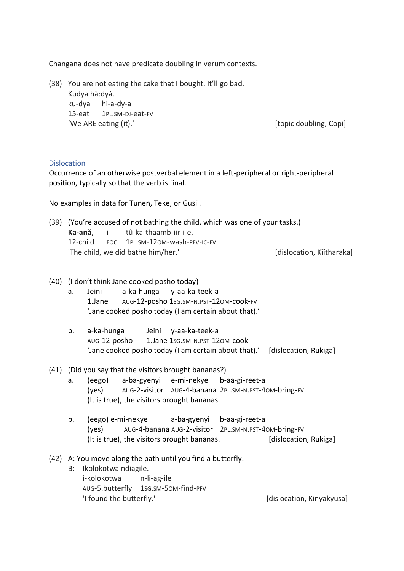Changana does not have predicate doubling in verum contexts.

<span id="page-7-4"></span>(38) You are not eating the cake that I bought. It'll go bad. Kudya hâ:dyá. ku-dya hi-a-dy-a 15-eat 1PL.SM-DJ-eat-FV 'We ARE eating (it).' The contract of the contract of the copid state of the copid state of the copid state of the copid state of the copid state of the copid state of the copid state of the copid state of the copid state

### **Dislocation**

Occurrence of an otherwise postverbal element in a left-peripheral or right-peripheral position, typically so that the verb is final.

No examples in data for Tunen, Teke, or Gusii.

<span id="page-7-0"></span>(39) (You're accused of not bathing the child, which was one of your tasks.) **Ka-anǎ**, i tû-ka-thaamb-iir-i-e. 12-child FOC 1PL.SM-12OM-wash-PFV-IC-FV 'The child, we did bathe him/her.' [dislocation, Kîîtharaka]

- <span id="page-7-1"></span>(40) (I don't think Jane cooked posho today)
	- a. Jeini a-ka-hunga y-aa-ka-teek-a 1.Jane AUG-12-posho 1SG.SM-N.PST-12OM-cook-FV 'Jane cooked posho today (I am certain about that).'
	- b. a-ka-hunga Jeini y-aa-ka-teek-a AUG-12-posho 1.Jane 1SG.SM-N.PST-12OM-cook 'Jane cooked posho today (I am certain about that).' [dislocation, Rukiga]
- <span id="page-7-2"></span>(41) (Did you say that the visitors brought bananas?)
	- a. (eego) a-ba-gyenyi e-mi-nekye b-aa-gi-reet-a (yes) AUG-2-visitor AUG-4-banana 2PL.SM-N.PST-4OM-bring-FV (It is true), the visitors brought bananas.
	- b. (eego) e-mi-nekye a-ba-gyenyi b-aa-gi-reet-a (yes) AUG-4-banana AUG-2-visitor 2PL.SM-N.PST-4OM-bring-FV (It is true), the visitors brought bananas. [dislocation, Rukiga]
- <span id="page-7-3"></span>(42) A: You move along the path until you find a butterfly.
	- B: Ikolokotwa ndiagile. i-kolokotwa n-li-ag-ile AUG-5.butterfly 1SG.SM-5OM-find-PFV 'I found the butterfly.' The control of the latest state of the latest state of the latest state of the latest of the latest state of the latest state of the latest state of the latest state of the latest state of the late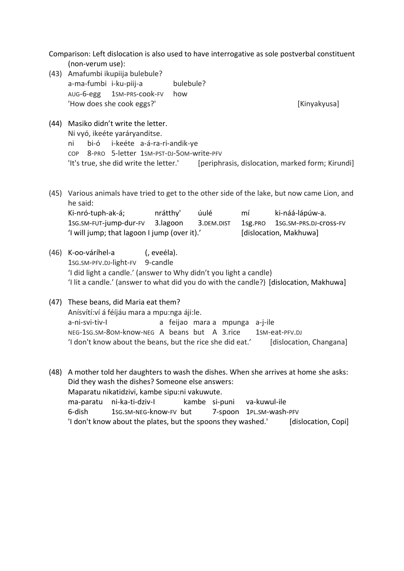Comparison: Left dislocation is also used to have interrogative as sole postverbal constituent (non-verum use):

(43) Amafumbi ikupiija bulebule? a-ma-fumbi i-ku-piij-a bulebule? AUG-6-egg 1SM-PRS-cook-FV how 'How does she cook eggs?' [Kinyakyusa]

- <span id="page-8-0"></span>(44) Masiko didn't write the letter. Ni vyó, ikeéte yaráryanditse. ni bi-ó i-keéte a-á-ra-ri-andik-ye COP 8-PRO 5-letter 1SM-PST-DJ-5OM-write-PFV 'It's true, she did write the letter.' [periphrasis, dislocation, marked form; Kirundi]
- <span id="page-8-2"></span>(45) Various animals have tried to get to the other side of the lake, but now came Lion, and he said: Ki-nró-tuph-ak-á; nrátthy' úulé mí ki-náá-lápúw-a. 1SG.SM-FUT-jump-dur-FV 3.lagoon 3.DEM.DIST 1sg.PRO 1SG.SM-PRS.DJ-cross-FV
- <span id="page-8-1"></span>(46) K-oo-váríhel-a (, eveéla). 1sG.SM-PFV.DJ-light-FV 9-candle 'I did light a candle.' (answer to Why didn't you light a candle) 'I lit a candle.' (answer to what did you do with the candle?) [dislocation, Makhuwa]

'I will jump; that lagoon I jump (over it).' [dislocation, Makhuwa]

- <span id="page-8-3"></span>(47) These beans, did Maria eat them? Anísvítí:ví á féíjáu mara a mpu:nga áji:le. a-ni-svi-tiv-I a feijao mara a mpunga a-j-ile NEG-1SG.SM-8OM-know-NEG A beans but A 3.rice 1SM-eat-PFV.DJ 'I don't know about the beans, but the rice she did eat.' [dislocation, Changana]
- <span id="page-8-4"></span>(48) A mother told her daughters to wash the dishes. When she arrives at home she asks: Did they wash the dishes? Someone else answers: Maparatu nikatidzivi, kambe sipu:ni vakuwute. ma-paratu ni-ka-ti-dziv-I kambe si-puni va-kuwul-ile 6-dish 1SG.SM-NEG-know-FV but 7-spoon 1PL.SM-wash-PFV 'I don't know about the plates, but the spoons they washed.' [dislocation, Copi]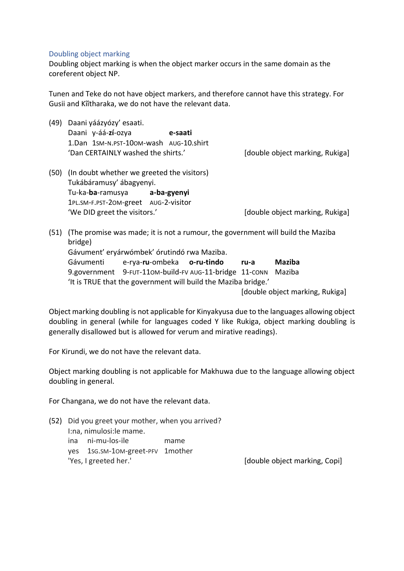#### Doubling object marking

Doubling object marking is when the object marker occurs in the same domain as the coreferent object NP.

Tunen and Teke do not have object markers, and therefore cannot have this strategy. For Gusii and Kîîtharaka, we do not have the relevant data.

<span id="page-9-0"></span>(49) Daani yáázyózy' esaati. Daani y-áá-**zí**-ozya **e-saati** 1.Dan 1SM-N.PST-10OM-wash AUG-10.shirt 'Dan CERTAINLY washed the shirts.' [double object marking, Rukiga] (50) (In doubt whether we greeted the visitors) Tukábáramusy' ábagyenyi. Tu-ka-**ba**-ramusya **a-ba-gyenyi** 1PL.SM-F.PST-2OM-greet AUG-2-visitor 'We DID greet the visitors.' The same controller and double object marking, Rukiga] (51) (The promise was made; it is not a rumour, the government will build the Maziba bridge) Gávument' eryárwómbek' órutindó rwa Maziba.

Gávumenti e-rya-**ru**-ombeka **o-ru-tindo ru-a Maziba** 9.government 9-FUT-11OM-build-FV AUG-11-bridge 11-CONN Maziba 'It is TRUE that the government will build the Maziba bridge.'

[double object marking, Rukiga]

Object marking doubling is not applicable for Kinyakyusa due to the languages allowing object doubling in general (while for languages coded Y like Rukiga, object marking doubling is generally disallowed but is allowed for verum and mirative readings).

For Kirundi, we do not have the relevant data.

Object marking doubling is not applicable for Makhuwa due to the language allowing object doubling in general.

For Changana, we do not have the relevant data.

- <span id="page-9-1"></span>(52) Did you greet your mother, when you arrived? I:na, nimulosi:le mame. ina ni-mu-los-ile mame
	-
	- yes 1SG.SM-1OM-greet-PFV 1mother

'Yes, I greeted her.' [double object marking, Copi]